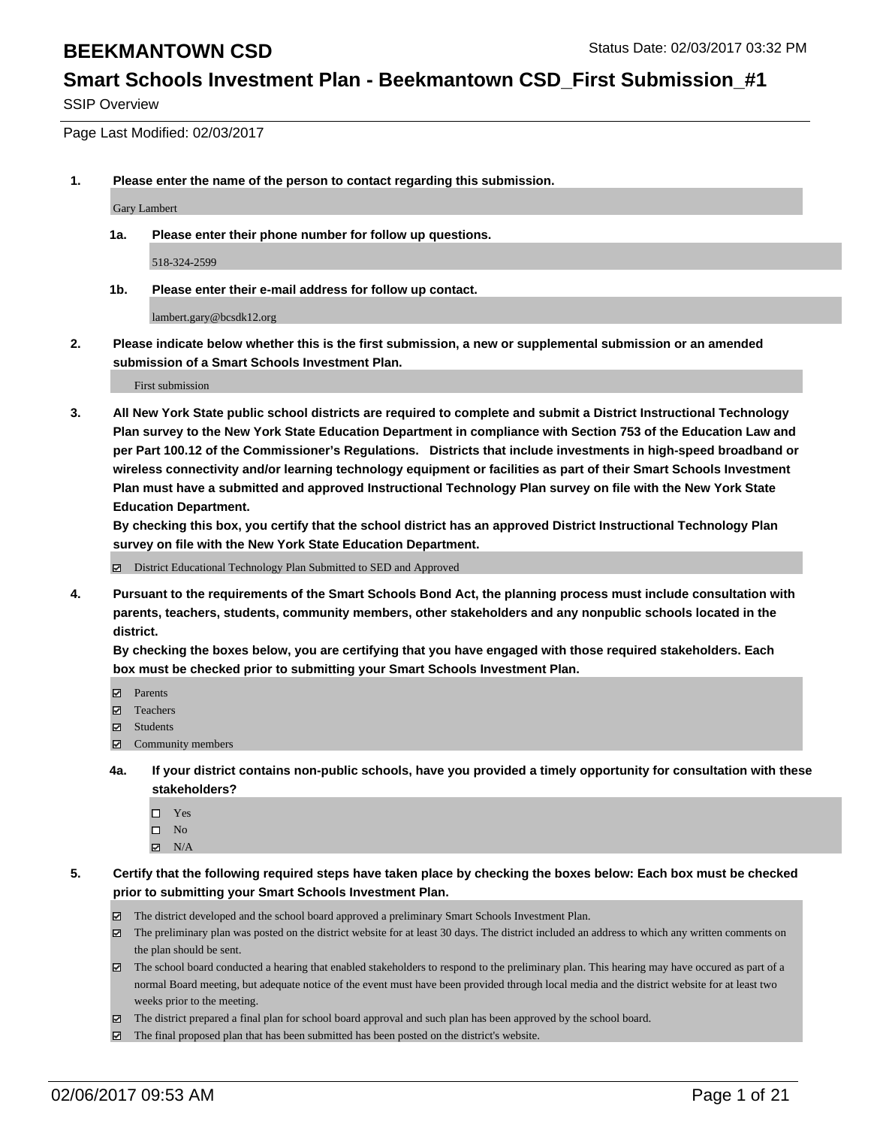## **Smart Schools Investment Plan - Beekmantown CSD\_First Submission\_#1**

SSIP Overview

Page Last Modified: 02/03/2017

**1. Please enter the name of the person to contact regarding this submission.**

Gary Lambert

**1a. Please enter their phone number for follow up questions.**

518-324-2599

**1b. Please enter their e-mail address for follow up contact.**

lambert.gary@bcsdk12.org

**2. Please indicate below whether this is the first submission, a new or supplemental submission or an amended submission of a Smart Schools Investment Plan.**

First submission

**3. All New York State public school districts are required to complete and submit a District Instructional Technology Plan survey to the New York State Education Department in compliance with Section 753 of the Education Law and per Part 100.12 of the Commissioner's Regulations. Districts that include investments in high-speed broadband or wireless connectivity and/or learning technology equipment or facilities as part of their Smart Schools Investment Plan must have a submitted and approved Instructional Technology Plan survey on file with the New York State Education Department.** 

**By checking this box, you certify that the school district has an approved District Instructional Technology Plan survey on file with the New York State Education Department.**

District Educational Technology Plan Submitted to SED and Approved

**4. Pursuant to the requirements of the Smart Schools Bond Act, the planning process must include consultation with parents, teachers, students, community members, other stakeholders and any nonpublic schools located in the district.** 

**By checking the boxes below, you are certifying that you have engaged with those required stakeholders. Each box must be checked prior to submitting your Smart Schools Investment Plan.**

- **Parents**
- Teachers
- **☑** Students
- Community members
- **4a. If your district contains non-public schools, have you provided a timely opportunity for consultation with these stakeholders?**
	- □ Yes
	- $\square$  No
	- $\boxtimes$  N/A
- **5. Certify that the following required steps have taken place by checking the boxes below: Each box must be checked prior to submitting your Smart Schools Investment Plan.**
	- The district developed and the school board approved a preliminary Smart Schools Investment Plan.
	- The preliminary plan was posted on the district website for at least 30 days. The district included an address to which any written comments on the plan should be sent.
	- The school board conducted a hearing that enabled stakeholders to respond to the preliminary plan. This hearing may have occured as part of a normal Board meeting, but adequate notice of the event must have been provided through local media and the district website for at least two weeks prior to the meeting.
	- The district prepared a final plan for school board approval and such plan has been approved by the school board.
	- $\boxtimes$  The final proposed plan that has been submitted has been posted on the district's website.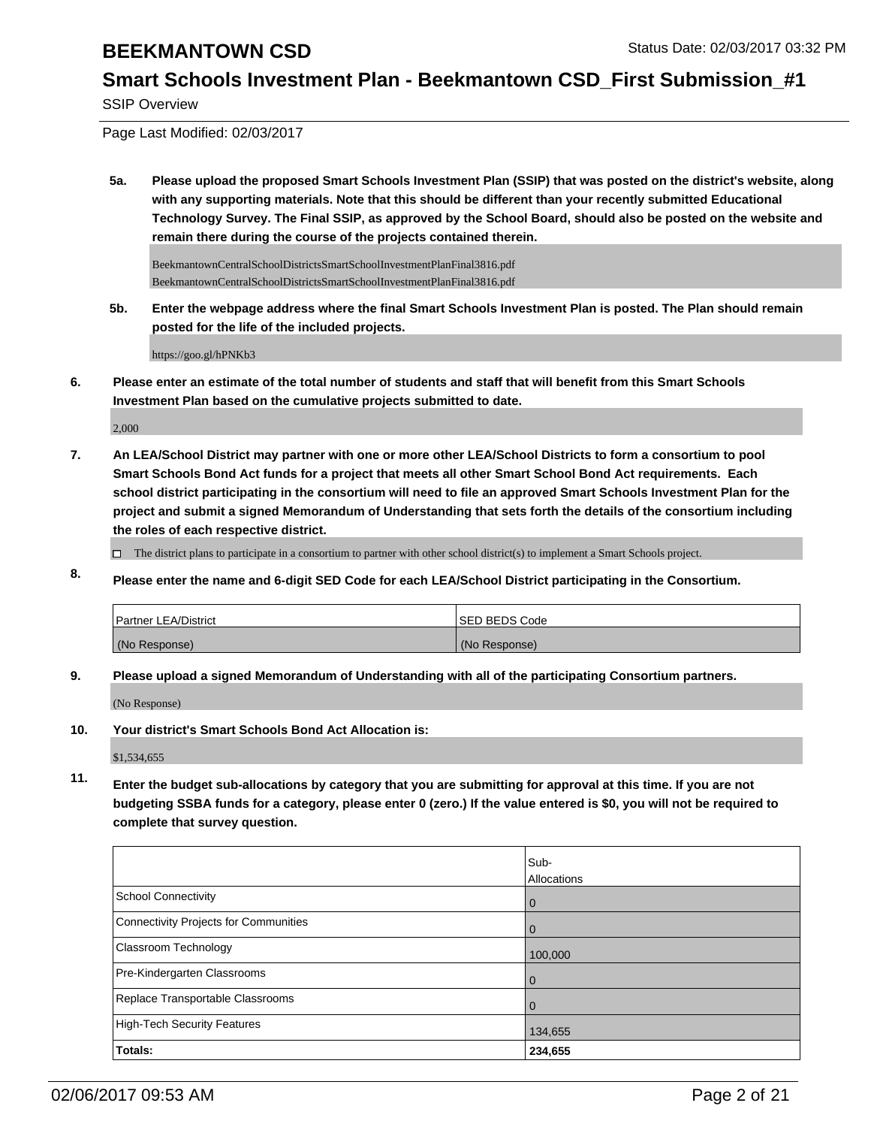### **Smart Schools Investment Plan - Beekmantown CSD\_First Submission\_#1**

SSIP Overview

Page Last Modified: 02/03/2017

**5a. Please upload the proposed Smart Schools Investment Plan (SSIP) that was posted on the district's website, along with any supporting materials. Note that this should be different than your recently submitted Educational Technology Survey. The Final SSIP, as approved by the School Board, should also be posted on the website and remain there during the course of the projects contained therein.**

BeekmantownCentralSchoolDistrictsSmartSchoolInvestmentPlanFinal3816.pdf BeekmantownCentralSchoolDistrictsSmartSchoolInvestmentPlanFinal3816.pdf

**5b. Enter the webpage address where the final Smart Schools Investment Plan is posted. The Plan should remain posted for the life of the included projects.**

https://goo.gl/hPNKb3

**6. Please enter an estimate of the total number of students and staff that will benefit from this Smart Schools Investment Plan based on the cumulative projects submitted to date.**

2,000

**7. An LEA/School District may partner with one or more other LEA/School Districts to form a consortium to pool Smart Schools Bond Act funds for a project that meets all other Smart School Bond Act requirements. Each school district participating in the consortium will need to file an approved Smart Schools Investment Plan for the project and submit a signed Memorandum of Understanding that sets forth the details of the consortium including the roles of each respective district.**

 $\Box$  The district plans to participate in a consortium to partner with other school district(s) to implement a Smart Schools project.

**8. Please enter the name and 6-digit SED Code for each LEA/School District participating in the Consortium.**

| <b>Partner LEA/District</b> | ISED BEDS Code |
|-----------------------------|----------------|
| (No Response)               | (No Response)  |

**9. Please upload a signed Memorandum of Understanding with all of the participating Consortium partners.**

(No Response)

**10. Your district's Smart Schools Bond Act Allocation is:**

\$1,534,655

**11. Enter the budget sub-allocations by category that you are submitting for approval at this time. If you are not budgeting SSBA funds for a category, please enter 0 (zero.) If the value entered is \$0, you will not be required to complete that survey question.**

|                                       | Sub-        |
|---------------------------------------|-------------|
|                                       | Allocations |
| School Connectivity                   | l 0         |
| Connectivity Projects for Communities | $\Omega$    |
| <b>Classroom Technology</b>           | 100,000     |
| Pre-Kindergarten Classrooms           | $\Omega$    |
| Replace Transportable Classrooms      | $\Omega$    |
| High-Tech Security Features           | 134,655     |
| Totals:                               | 234,655     |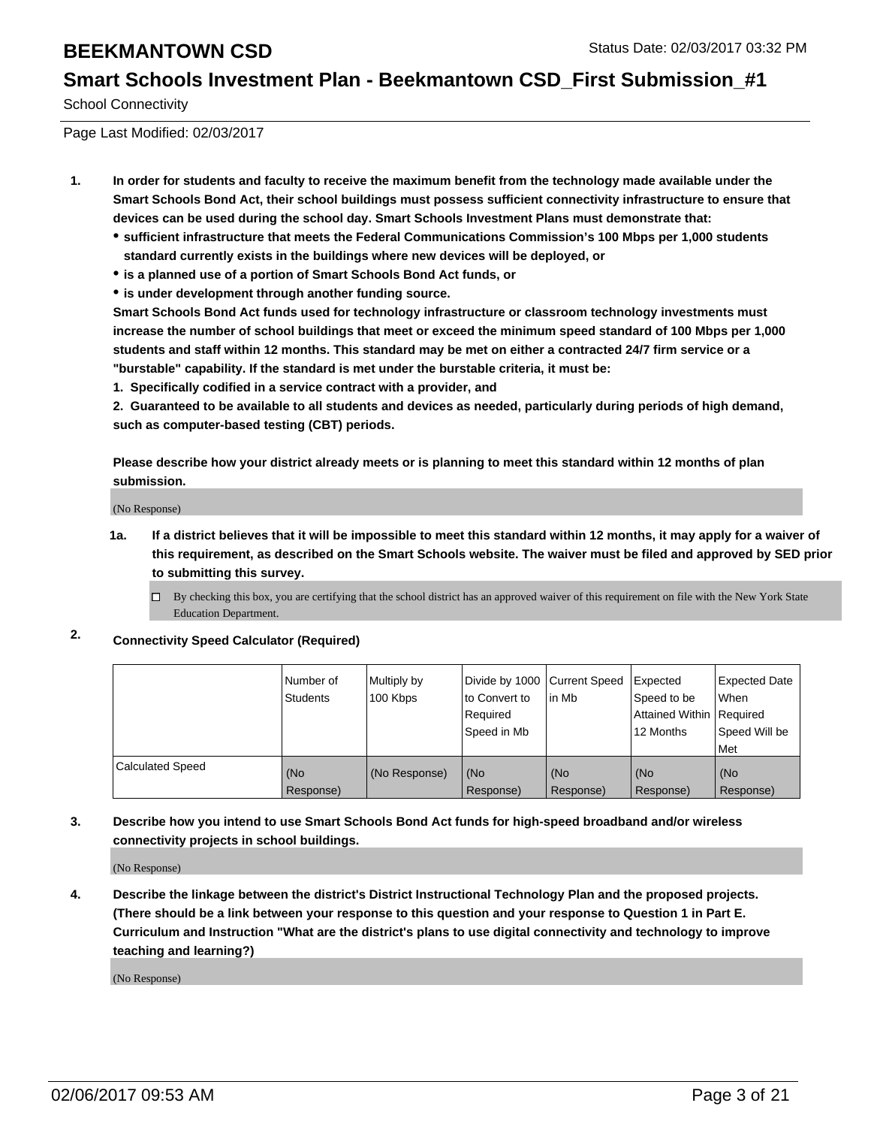### **Smart Schools Investment Plan - Beekmantown CSD\_First Submission\_#1**

School Connectivity

Page Last Modified: 02/03/2017

- **1. In order for students and faculty to receive the maximum benefit from the technology made available under the Smart Schools Bond Act, their school buildings must possess sufficient connectivity infrastructure to ensure that devices can be used during the school day. Smart Schools Investment Plans must demonstrate that:**
	- **sufficient infrastructure that meets the Federal Communications Commission's 100 Mbps per 1,000 students standard currently exists in the buildings where new devices will be deployed, or**
	- **is a planned use of a portion of Smart Schools Bond Act funds, or**
	- **is under development through another funding source.**

**Smart Schools Bond Act funds used for technology infrastructure or classroom technology investments must increase the number of school buildings that meet or exceed the minimum speed standard of 100 Mbps per 1,000 students and staff within 12 months. This standard may be met on either a contracted 24/7 firm service or a "burstable" capability. If the standard is met under the burstable criteria, it must be:**

**1. Specifically codified in a service contract with a provider, and**

**2. Guaranteed to be available to all students and devices as needed, particularly during periods of high demand, such as computer-based testing (CBT) periods.**

**Please describe how your district already meets or is planning to meet this standard within 12 months of plan submission.**

(No Response)

**1a. If a district believes that it will be impossible to meet this standard within 12 months, it may apply for a waiver of this requirement, as described on the Smart Schools website. The waiver must be filed and approved by SED prior to submitting this survey.**

 $\Box$ By checking this box, you are certifying that the school district has an approved waiver of this requirement on file with the New York State Education Department.

**2. Connectivity Speed Calculator (Required)**

|                         | l Number of<br>Students | Multiply by<br>100 Kbps | Divide by 1000 Current Speed<br>to Convert to<br>Reauired<br>Speed in Mb | in Mb            | Expected<br>Speed to be<br>Attained Within   Required<br>12 Months | <b>Expected Date</b><br>l When<br>Speed Will be<br>Met |
|-------------------------|-------------------------|-------------------------|--------------------------------------------------------------------------|------------------|--------------------------------------------------------------------|--------------------------------------------------------|
| <b>Calculated Speed</b> | (No<br>Response)        | (No Response)           | (No<br>Response)                                                         | (No<br>Response) | (No<br>Response)                                                   | (No<br>Response)                                       |

**3. Describe how you intend to use Smart Schools Bond Act funds for high-speed broadband and/or wireless connectivity projects in school buildings.**

(No Response)

**4. Describe the linkage between the district's District Instructional Technology Plan and the proposed projects. (There should be a link between your response to this question and your response to Question 1 in Part E. Curriculum and Instruction "What are the district's plans to use digital connectivity and technology to improve teaching and learning?)**

(No Response)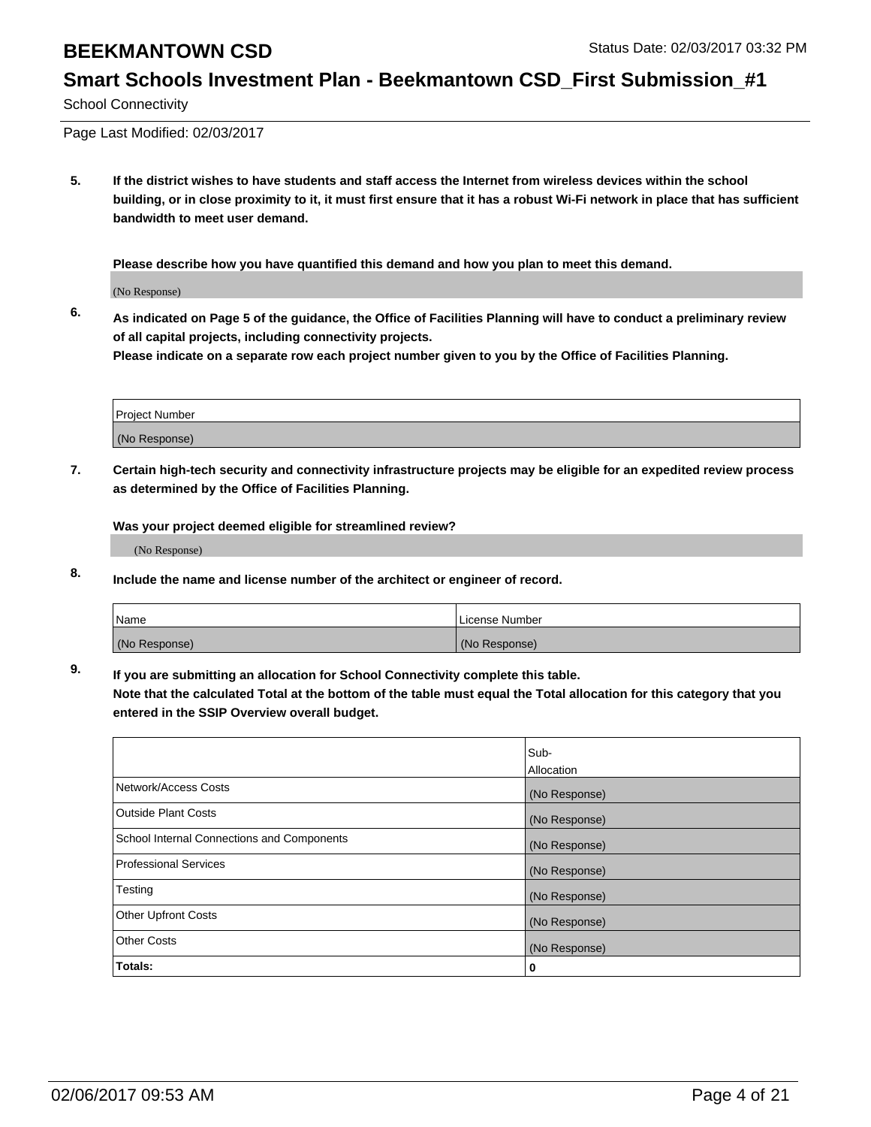### **Smart Schools Investment Plan - Beekmantown CSD\_First Submission\_#1**

School Connectivity

Page Last Modified: 02/03/2017

**5. If the district wishes to have students and staff access the Internet from wireless devices within the school building, or in close proximity to it, it must first ensure that it has a robust Wi-Fi network in place that has sufficient bandwidth to meet user demand.**

**Please describe how you have quantified this demand and how you plan to meet this demand.**

(No Response)

**6. As indicated on Page 5 of the guidance, the Office of Facilities Planning will have to conduct a preliminary review of all capital projects, including connectivity projects.**

**Please indicate on a separate row each project number given to you by the Office of Facilities Planning.**

| Project Number |  |
|----------------|--|
|                |  |
| (No Response)  |  |

**7. Certain high-tech security and connectivity infrastructure projects may be eligible for an expedited review process as determined by the Office of Facilities Planning.**

**Was your project deemed eligible for streamlined review?**

(No Response)

**8. Include the name and license number of the architect or engineer of record.**

| <b>Name</b>   | License Number |
|---------------|----------------|
| (No Response) | (No Response)  |

**9. If you are submitting an allocation for School Connectivity complete this table.**

**Note that the calculated Total at the bottom of the table must equal the Total allocation for this category that you entered in the SSIP Overview overall budget.** 

|                                            | Sub-              |
|--------------------------------------------|-------------------|
|                                            | <b>Allocation</b> |
| Network/Access Costs                       | (No Response)     |
| <b>Outside Plant Costs</b>                 | (No Response)     |
| School Internal Connections and Components | (No Response)     |
| <b>Professional Services</b>               | (No Response)     |
| Testing                                    | (No Response)     |
| <b>Other Upfront Costs</b>                 | (No Response)     |
| <b>Other Costs</b>                         | (No Response)     |
| Totals:                                    | 0                 |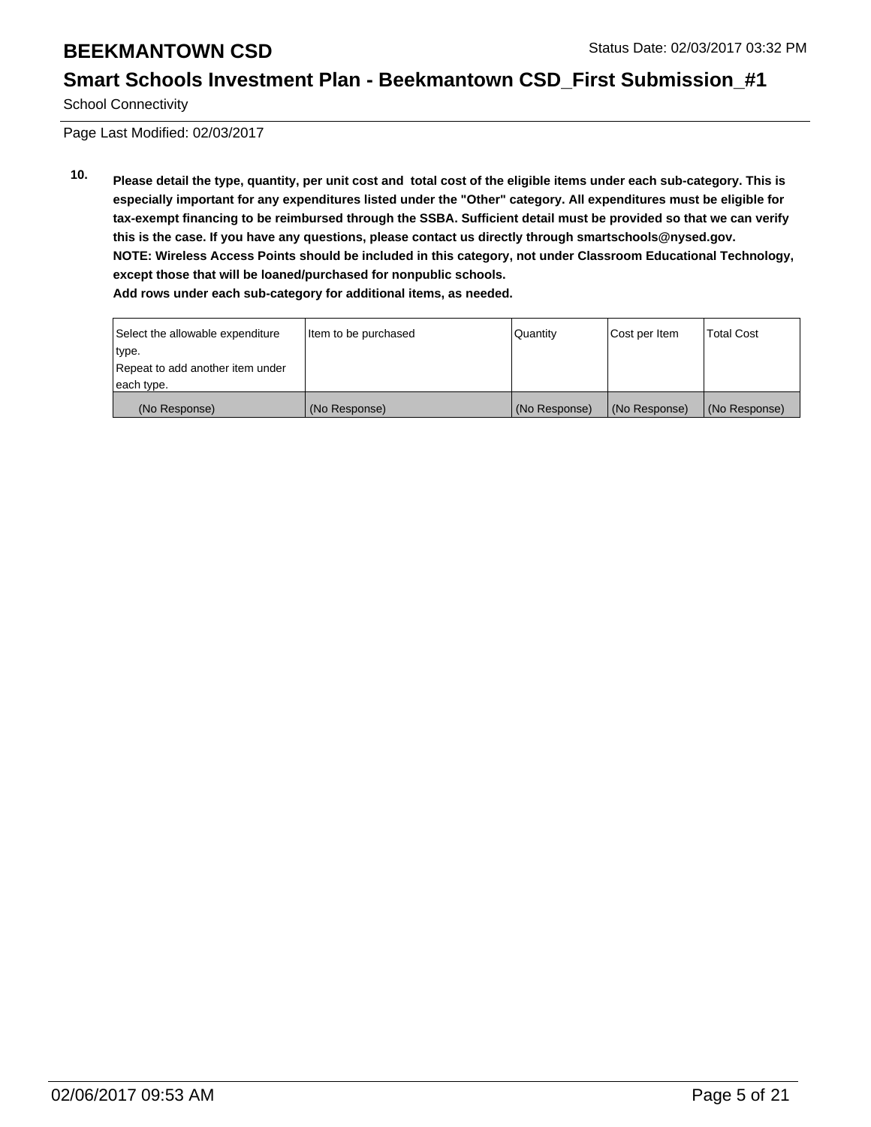### **Smart Schools Investment Plan - Beekmantown CSD\_First Submission\_#1**

School Connectivity

Page Last Modified: 02/03/2017

**10. Please detail the type, quantity, per unit cost and total cost of the eligible items under each sub-category. This is especially important for any expenditures listed under the "Other" category. All expenditures must be eligible for tax-exempt financing to be reimbursed through the SSBA. Sufficient detail must be provided so that we can verify this is the case. If you have any questions, please contact us directly through smartschools@nysed.gov. NOTE: Wireless Access Points should be included in this category, not under Classroom Educational Technology, except those that will be loaned/purchased for nonpublic schools. Add rows under each sub-category for additional items, as needed.**

| Select the allowable expenditure | Item to be purchased | <b>Quantity</b> | Cost per Item | <b>Total Cost</b> |
|----------------------------------|----------------------|-----------------|---------------|-------------------|
| type.                            |                      |                 |               |                   |
| Repeat to add another item under |                      |                 |               |                   |
| each type.                       |                      |                 |               |                   |
| (No Response)                    | (No Response)        | (No Response)   | (No Response) | (No Response)     |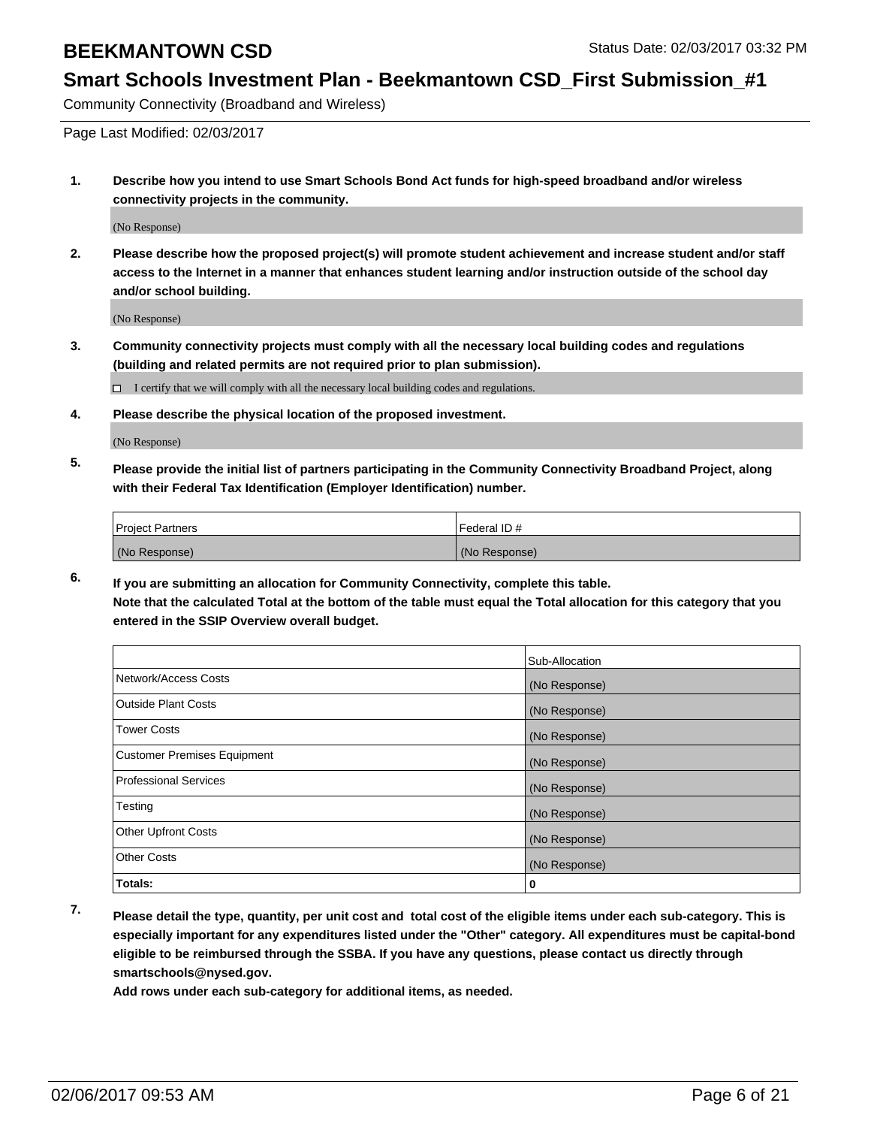### **Smart Schools Investment Plan - Beekmantown CSD\_First Submission\_#1**

Community Connectivity (Broadband and Wireless)

Page Last Modified: 02/03/2017

**1. Describe how you intend to use Smart Schools Bond Act funds for high-speed broadband and/or wireless connectivity projects in the community.**

(No Response)

**2. Please describe how the proposed project(s) will promote student achievement and increase student and/or staff access to the Internet in a manner that enhances student learning and/or instruction outside of the school day and/or school building.**

(No Response)

**3. Community connectivity projects must comply with all the necessary local building codes and regulations (building and related permits are not required prior to plan submission).**

 $\Box$  I certify that we will comply with all the necessary local building codes and regulations.

**4. Please describe the physical location of the proposed investment.**

(No Response)

**5. Please provide the initial list of partners participating in the Community Connectivity Broadband Project, along with their Federal Tax Identification (Employer Identification) number.**

| <b>Project Partners</b> | I Federal ID # |
|-------------------------|----------------|
| (No Response)           | (No Response)  |

**6. If you are submitting an allocation for Community Connectivity, complete this table. Note that the calculated Total at the bottom of the table must equal the Total allocation for this category that you entered in the SSIP Overview overall budget.**

|                                    | Sub-Allocation |
|------------------------------------|----------------|
| Network/Access Costs               | (No Response)  |
| <b>Outside Plant Costs</b>         | (No Response)  |
| <b>Tower Costs</b>                 | (No Response)  |
| <b>Customer Premises Equipment</b> | (No Response)  |
| <b>Professional Services</b>       | (No Response)  |
| Testing                            | (No Response)  |
| <b>Other Upfront Costs</b>         | (No Response)  |
| <b>Other Costs</b>                 | (No Response)  |
| Totals:                            | 0              |

**7. Please detail the type, quantity, per unit cost and total cost of the eligible items under each sub-category. This is especially important for any expenditures listed under the "Other" category. All expenditures must be capital-bond eligible to be reimbursed through the SSBA. If you have any questions, please contact us directly through smartschools@nysed.gov.**

**Add rows under each sub-category for additional items, as needed.**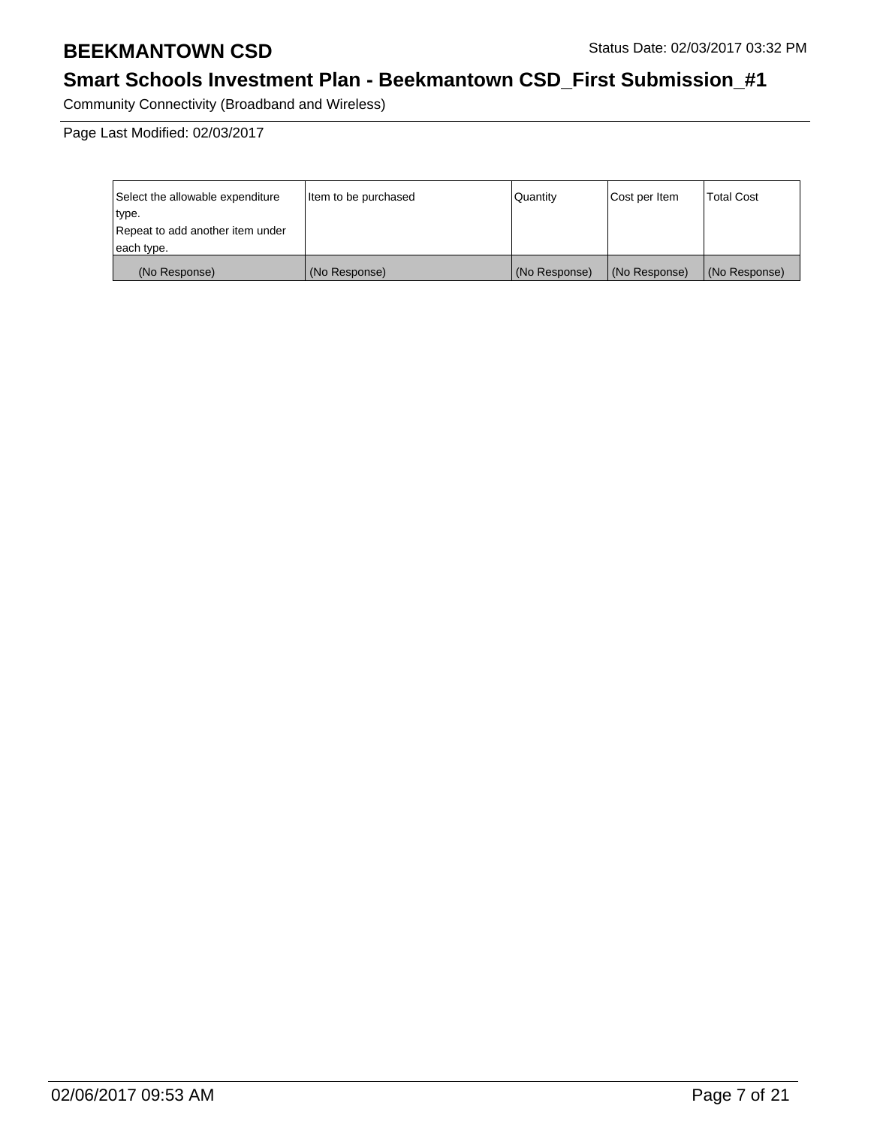# **Smart Schools Investment Plan - Beekmantown CSD\_First Submission\_#1**

Community Connectivity (Broadband and Wireless)

Page Last Modified: 02/03/2017

| Select the allowable expenditure | litem to be purchased | Quantity      | Cost per Item | <b>Total Cost</b> |
|----------------------------------|-----------------------|---------------|---------------|-------------------|
| type.                            |                       |               |               |                   |
| Repeat to add another item under |                       |               |               |                   |
| each type.                       |                       |               |               |                   |
| (No Response)                    | (No Response)         | (No Response) | (No Response) | (No Response)     |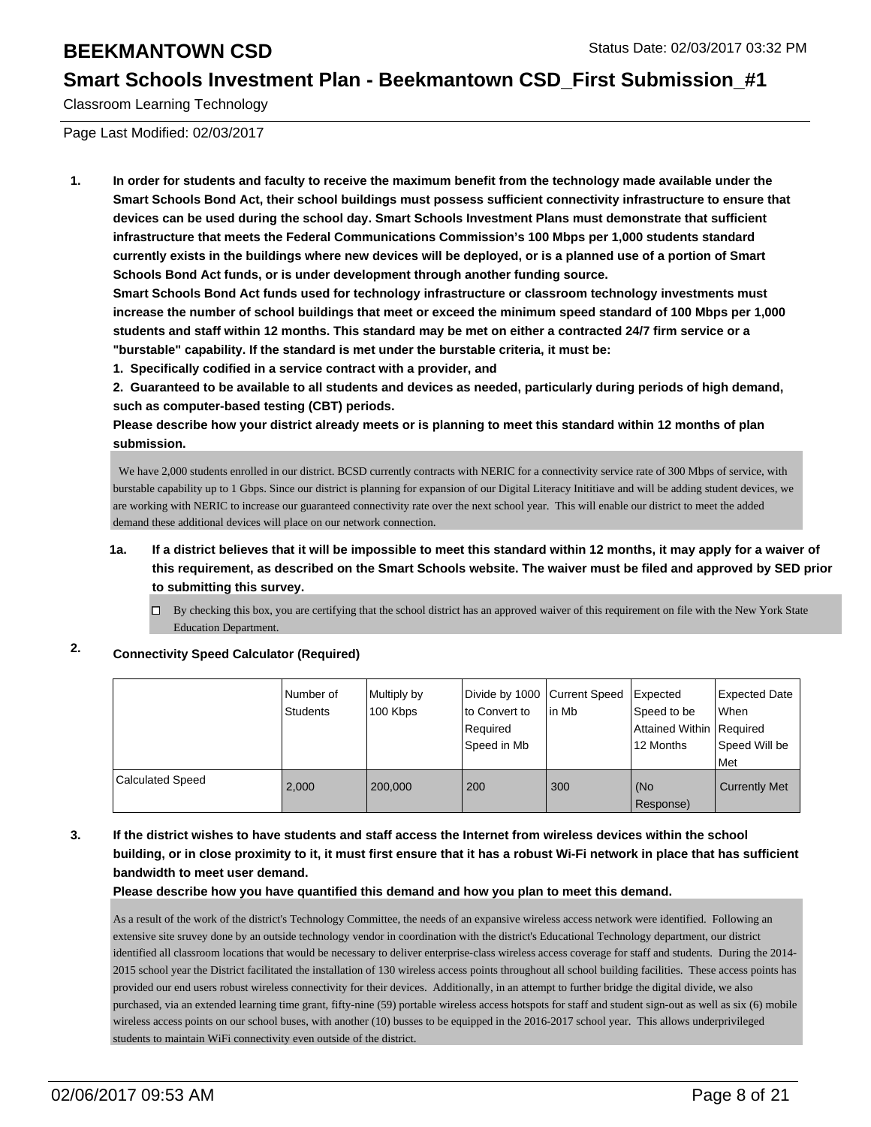### **Smart Schools Investment Plan - Beekmantown CSD\_First Submission\_#1**

Classroom Learning Technology

Page Last Modified: 02/03/2017

**1. In order for students and faculty to receive the maximum benefit from the technology made available under the Smart Schools Bond Act, their school buildings must possess sufficient connectivity infrastructure to ensure that devices can be used during the school day. Smart Schools Investment Plans must demonstrate that sufficient infrastructure that meets the Federal Communications Commission's 100 Mbps per 1,000 students standard currently exists in the buildings where new devices will be deployed, or is a planned use of a portion of Smart Schools Bond Act funds, or is under development through another funding source.**

**Smart Schools Bond Act funds used for technology infrastructure or classroom technology investments must increase the number of school buildings that meet or exceed the minimum speed standard of 100 Mbps per 1,000 students and staff within 12 months. This standard may be met on either a contracted 24/7 firm service or a "burstable" capability. If the standard is met under the burstable criteria, it must be:**

**1. Specifically codified in a service contract with a provider, and**

**2. Guaranteed to be available to all students and devices as needed, particularly during periods of high demand, such as computer-based testing (CBT) periods.**

**Please describe how your district already meets or is planning to meet this standard within 12 months of plan submission.**

 We have 2,000 students enrolled in our district. BCSD currently contracts with NERIC for a connectivity service rate of 300 Mbps of service, with burstable capability up to 1 Gbps. Since our district is planning for expansion of our Digital Literacy Inititiave and will be adding student devices, we are working with NERIC to increase our guaranteed connectivity rate over the next school year. This will enable our district to meet the added demand these additional devices will place on our network connection.

- **1a. If a district believes that it will be impossible to meet this standard within 12 months, it may apply for a waiver of this requirement, as described on the Smart Schools website. The waiver must be filed and approved by SED prior to submitting this survey.**
	- $\Box$  By checking this box, you are certifying that the school district has an approved waiver of this requirement on file with the New York State Education Department.

**2. Connectivity Speed Calculator (Required)**

|                         | l Number of<br><b>Students</b> | Multiply by<br>100 Kbps | Divide by 1000 Current Speed<br>to Convert to<br>Required<br>Sbeed in Mb | lin Mb | Expected<br>Speed to be<br>Attained Within   Required<br>12 Months | Expected Date<br><b>When</b><br>Speed Will be<br>l Met |
|-------------------------|--------------------------------|-------------------------|--------------------------------------------------------------------------|--------|--------------------------------------------------------------------|--------------------------------------------------------|
| <b>Calculated Speed</b> | 2.000                          | 200.000                 | 200                                                                      | 300    | (No<br>Response)                                                   | <b>Currently Met</b>                                   |

#### **3. If the district wishes to have students and staff access the Internet from wireless devices within the school building, or in close proximity to it, it must first ensure that it has a robust Wi-Fi network in place that has sufficient bandwidth to meet user demand.**

**Please describe how you have quantified this demand and how you plan to meet this demand.**

As a result of the work of the district's Technology Committee, the needs of an expansive wireless access network were identified. Following an extensive site sruvey done by an outside technology vendor in coordination with the district's Educational Technology department, our district identified all classroom locations that would be necessary to deliver enterprise-class wireless access coverage for staff and students. During the 2014- 2015 school year the District facilitated the installation of 130 wireless access points throughout all school building facilities. These access points has provided our end users robust wireless connectivity for their devices. Additionally, in an attempt to further bridge the digital divide, we also purchased, via an extended learning time grant, fifty-nine (59) portable wireless access hotspots for staff and student sign-out as well as six (6) mobile wireless access points on our school buses, with another (10) busses to be equipped in the 2016-2017 school year. This allows underprivileged students to maintain WiFi connectivity even outside of the district.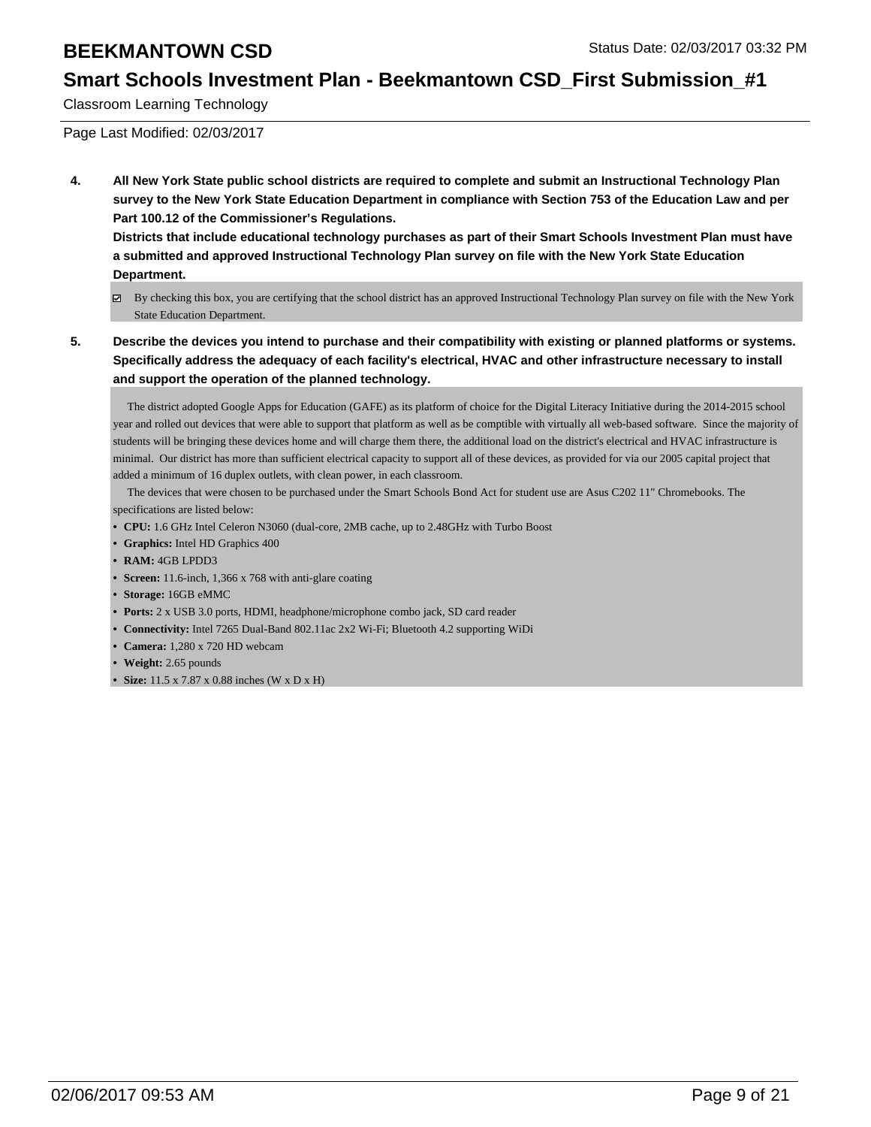### **Smart Schools Investment Plan - Beekmantown CSD\_First Submission\_#1**

Classroom Learning Technology

Page Last Modified: 02/03/2017

**4. All New York State public school districts are required to complete and submit an Instructional Technology Plan survey to the New York State Education Department in compliance with Section 753 of the Education Law and per Part 100.12 of the Commissioner's Regulations.**

**Districts that include educational technology purchases as part of their Smart Schools Investment Plan must have a submitted and approved Instructional Technology Plan survey on file with the New York State Education Department.**

- By checking this box, you are certifying that the school district has an approved Instructional Technology Plan survey on file with the New York State Education Department.
- **5. Describe the devices you intend to purchase and their compatibility with existing or planned platforms or systems. Specifically address the adequacy of each facility's electrical, HVAC and other infrastructure necessary to install and support the operation of the planned technology.**

 The district adopted Google Apps for Education (GAFE) as its platform of choice for the Digital Literacy Initiative during the 2014-2015 school year and rolled out devices that were able to support that platform as well as be comptible with virtually all web-based software. Since the majority of students will be bringing these devices home and will charge them there, the additional load on the district's electrical and HVAC infrastructure is minimal. Our district has more than sufficient electrical capacity to support all of these devices, as provided for via our 2005 capital project that added a minimum of 16 duplex outlets, with clean power, in each classroom.

 The devices that were chosen to be purchased under the Smart Schools Bond Act for student use are Asus C202 11" Chromebooks. The specifications are listed below:

- **• CPU:** 1.6 GHz Intel Celeron N3060 (dual-core, 2MB cache, up to 2.48GHz with Turbo Boost
- **• Graphics:** Intel HD Graphics 400
- **• RAM:** 4GB LPDD3
- **• Screen:** 11.6-inch, 1,366 x 768 with anti-glare coating
- **• Storage:** 16GB eMMC
- **• Ports:** 2 x USB 3.0 ports, HDMI, headphone/microphone combo jack, SD card reader
- **• Connectivity:** Intel 7265 Dual-Band 802.11ac 2x2 Wi-Fi; Bluetooth 4.2 supporting WiDi
- **• Camera:** 1,280 x 720 HD webcam
- **• Weight:** 2.65 pounds
- **• Size:** 11.5 x 7.87 x 0.88 inches (W x D x H)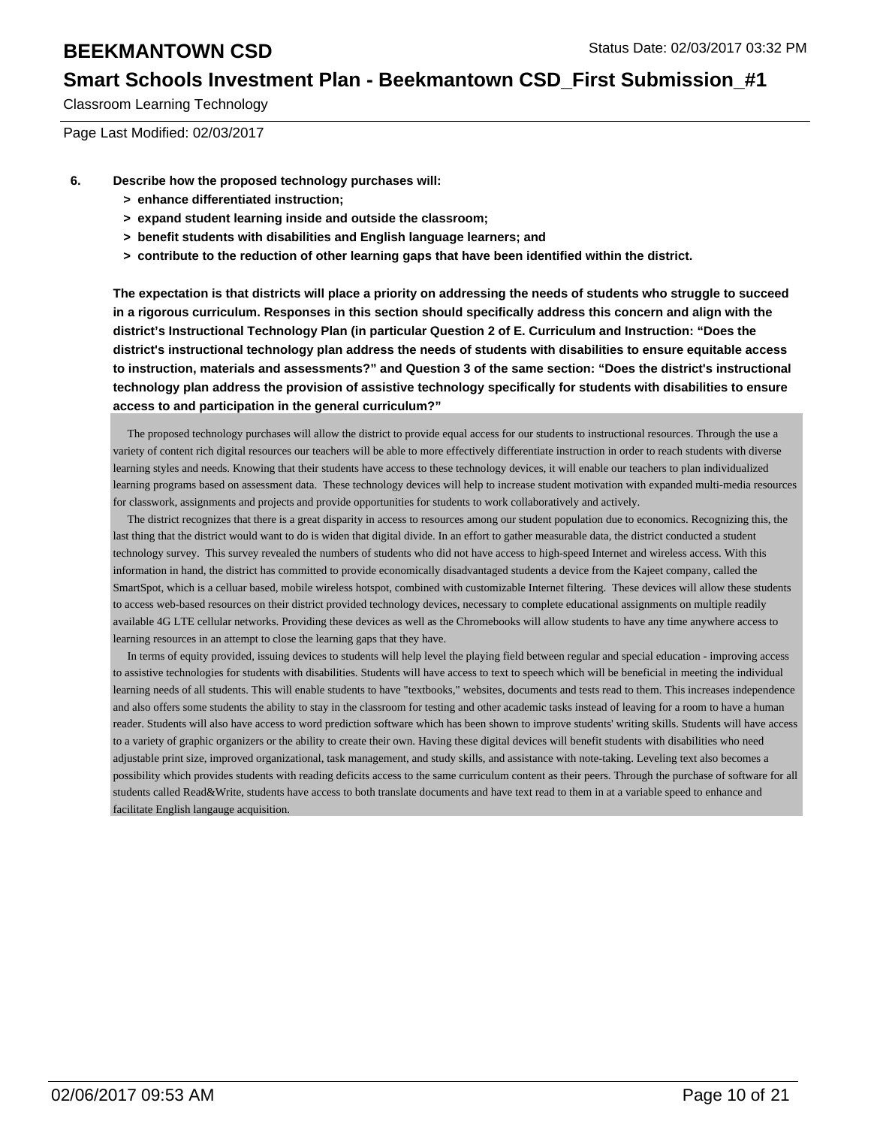### **Smart Schools Investment Plan - Beekmantown CSD\_First Submission\_#1**

Classroom Learning Technology

Page Last Modified: 02/03/2017

- **6. Describe how the proposed technology purchases will:**
	- **> enhance differentiated instruction;**
	- **> expand student learning inside and outside the classroom;**
	- **> benefit students with disabilities and English language learners; and**
	- **> contribute to the reduction of other learning gaps that have been identified within the district.**

**The expectation is that districts will place a priority on addressing the needs of students who struggle to succeed in a rigorous curriculum. Responses in this section should specifically address this concern and align with the district's Instructional Technology Plan (in particular Question 2 of E. Curriculum and Instruction: "Does the district's instructional technology plan address the needs of students with disabilities to ensure equitable access to instruction, materials and assessments?" and Question 3 of the same section: "Does the district's instructional technology plan address the provision of assistive technology specifically for students with disabilities to ensure access to and participation in the general curriculum?"**

 The proposed technology purchases will allow the district to provide equal access for our students to instructional resources. Through the use a variety of content rich digital resources our teachers will be able to more effectively differentiate instruction in order to reach students with diverse learning styles and needs. Knowing that their students have access to these technology devices, it will enable our teachers to plan individualized learning programs based on assessment data. These technology devices will help to increase student motivation with expanded multi-media resources for classwork, assignments and projects and provide opportunities for students to work collaboratively and actively.

 The district recognizes that there is a great disparity in access to resources among our student population due to economics. Recognizing this, the last thing that the district would want to do is widen that digital divide. In an effort to gather measurable data, the district conducted a student technology survey. This survey revealed the numbers of students who did not have access to high-speed Internet and wireless access. With this information in hand, the district has committed to provide economically disadvantaged students a device from the Kajeet company, called the SmartSpot, which is a celluar based, mobile wireless hotspot, combined with customizable Internet filtering. These devices will allow these students to access web-based resources on their district provided technology devices, necessary to complete educational assignments on multiple readily available 4G LTE cellular networks. Providing these devices as well as the Chromebooks will allow students to have any time anywhere access to learning resources in an attempt to close the learning gaps that they have.

 In terms of equity provided, issuing devices to students will help level the playing field between regular and special education - improving access to assistive technologies for students with disabilities. Students will have access to text to speech which will be beneficial in meeting the individual learning needs of all students. This will enable students to have "textbooks," websites, documents and tests read to them. This increases independence and also offers some students the ability to stay in the classroom for testing and other academic tasks instead of leaving for a room to have a human reader. Students will also have access to word prediction software which has been shown to improve students' writing skills. Students will have access to a variety of graphic organizers or the ability to create their own. Having these digital devices will benefit students with disabilities who need adjustable print size, improved organizational, task management, and study skills, and assistance with note-taking. Leveling text also becomes a possibility which provides students with reading deficits access to the same curriculum content as their peers. Through the purchase of software for all students called Read&Write, students have access to both translate documents and have text read to them in at a variable speed to enhance and facilitate English langauge acquisition.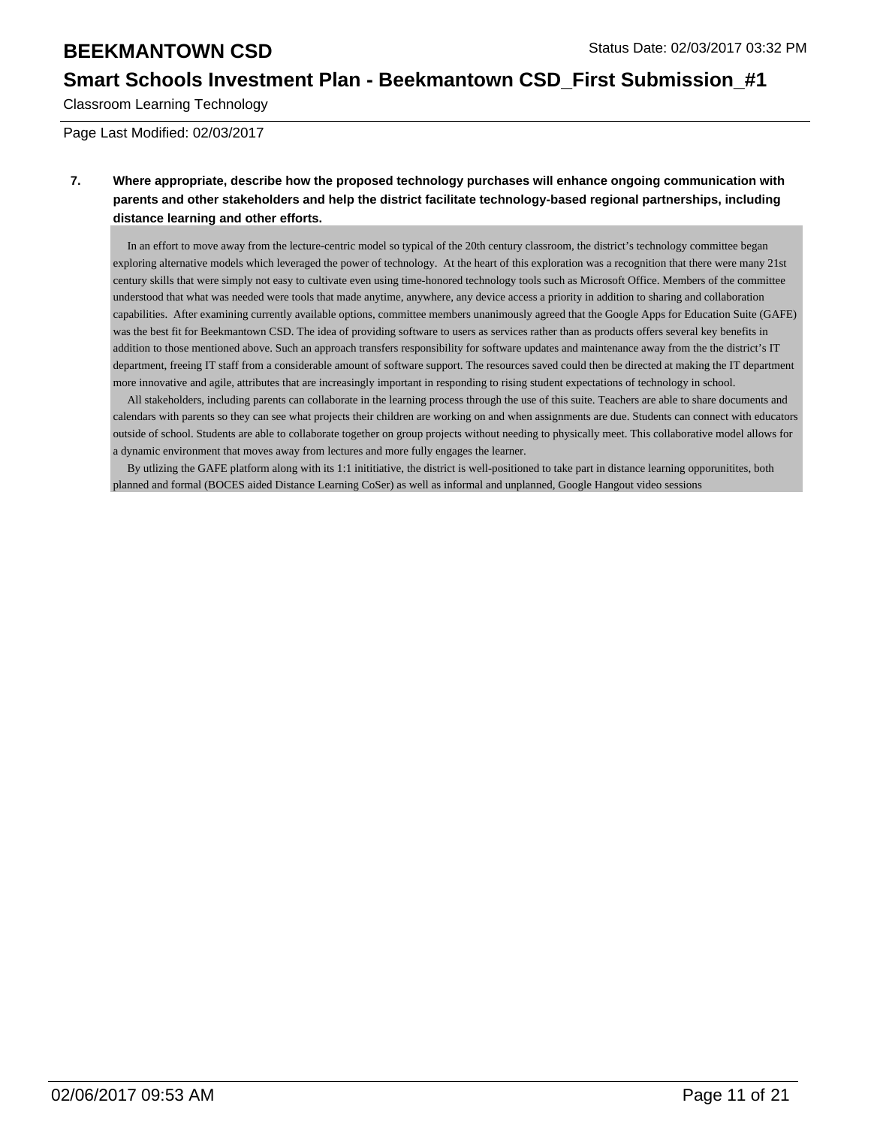### **Smart Schools Investment Plan - Beekmantown CSD\_First Submission\_#1**

Classroom Learning Technology

Page Last Modified: 02/03/2017

#### **7. Where appropriate, describe how the proposed technology purchases will enhance ongoing communication with parents and other stakeholders and help the district facilitate technology-based regional partnerships, including distance learning and other efforts.**

 In an effort to move away from the lecture-centric model so typical of the 20th century classroom, the district's technology committee began exploring alternative models which leveraged the power of technology. At the heart of this exploration was a recognition that there were many 21st century skills that were simply not easy to cultivate even using time-honored technology tools such as Microsoft Office. Members of the committee understood that what was needed were tools that made anytime, anywhere, any device access a priority in addition to sharing and collaboration capabilities. After examining currently available options, committee members unanimously agreed that the Google Apps for Education Suite (GAFE) was the best fit for Beekmantown CSD. The idea of providing software to users as services rather than as products offers several key benefits in addition to those mentioned above. Such an approach transfers responsibility for software updates and maintenance away from the the district's IT department, freeing IT staff from a considerable amount of software support. The resources saved could then be directed at making the IT department more innovative and agile, attributes that are increasingly important in responding to rising student expectations of technology in school.

 All stakeholders, including parents can collaborate in the learning process through the use of this suite. Teachers are able to share documents and calendars with parents so they can see what projects their children are working on and when assignments are due. Students can connect with educators outside of school. Students are able to collaborate together on group projects without needing to physically meet. This collaborative model allows for a dynamic environment that moves away from lectures and more fully engages the learner.

 By utlizing the GAFE platform along with its 1:1 inititiative, the district is well-positioned to take part in distance learning opporunitites, both planned and formal (BOCES aided Distance Learning CoSer) as well as informal and unplanned, Google Hangout video sessions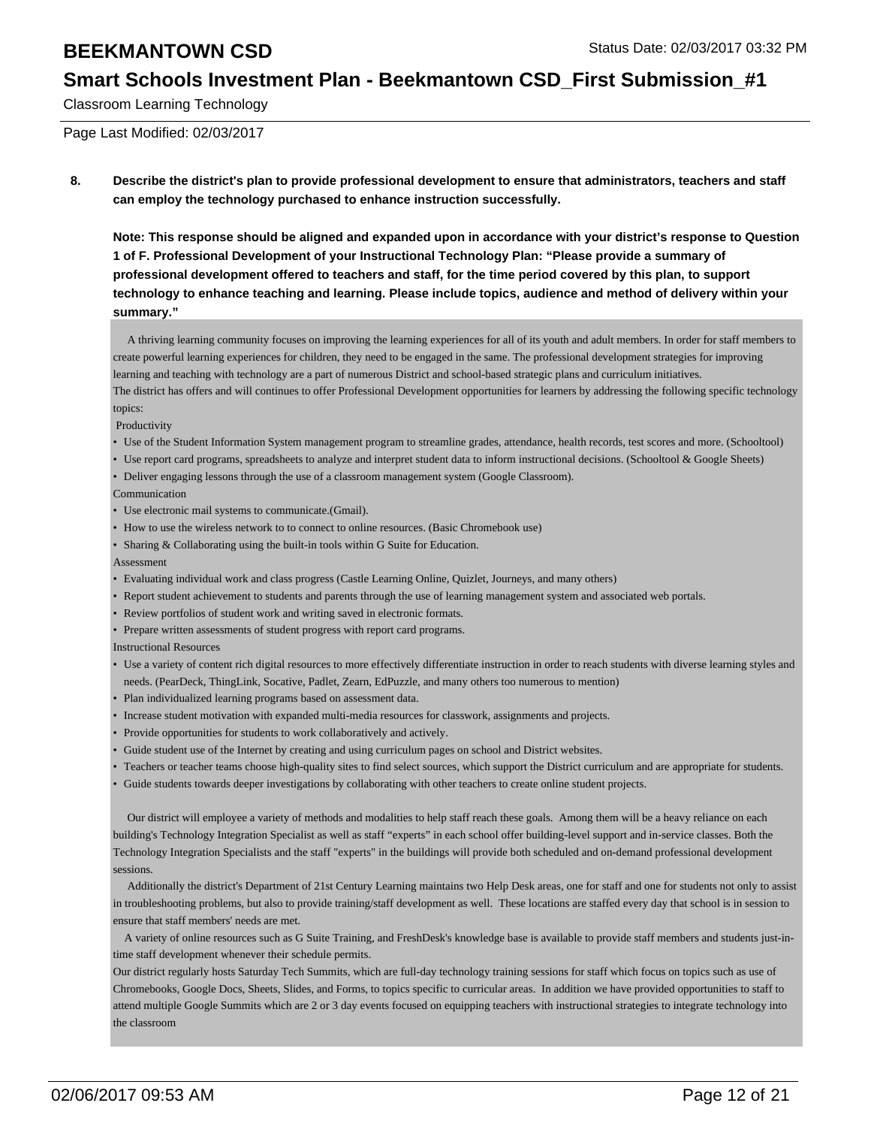### **Smart Schools Investment Plan - Beekmantown CSD\_First Submission\_#1**

Classroom Learning Technology

Page Last Modified: 02/03/2017

#### **8. Describe the district's plan to provide professional development to ensure that administrators, teachers and staff can employ the technology purchased to enhance instruction successfully.**

**Note: This response should be aligned and expanded upon in accordance with your district's response to Question 1 of F. Professional Development of your Instructional Technology Plan: "Please provide a summary of professional development offered to teachers and staff, for the time period covered by this plan, to support technology to enhance teaching and learning. Please include topics, audience and method of delivery within your summary."**

 A thriving learning community focuses on improving the learning experiences for all of its youth and adult members. In order for staff members to create powerful learning experiences for children, they need to be engaged in the same. The professional development strategies for improving learning and teaching with technology are a part of numerous District and school-based strategic plans and curriculum initiatives. The district has offers and will continues to offer Professional Development opportunities for learners by addressing the following specific technology

#### topics:

Productivity

- Use of the Student Information System management program to streamline grades, attendance, health records, test scores and more. (Schooltool)
- Use report card programs, spreadsheets to analyze and interpret student data to inform instructional decisions. (Schooltool & Google Sheets) • Deliver engaging lessons through the use of a classroom management system (Google Classroom).
- Communication
- Use electronic mail systems to communicate.(Gmail).
- How to use the wireless network to to connect to online resources. (Basic Chromebook use)
- Sharing & Collaborating using the built-in tools within G Suite for Education.
- Assessment
- Evaluating individual work and class progress (Castle Learning Online, Quizlet, Journeys, and many others)
- Report student achievement to students and parents through the use of learning management system and associated web portals.
- Review portfolios of student work and writing saved in electronic formats.
- Prepare written assessments of student progress with report card programs.
- Instructional Resources
- Use a variety of content rich digital resources to more effectively differentiate instruction in order to reach students with diverse learning styles and needs. (PearDeck, ThingLink, Socative, Padlet, Zearn, EdPuzzle, and many others too numerous to mention)
- Plan individualized learning programs based on assessment data.
- Increase student motivation with expanded multi-media resources for classwork, assignments and projects.
- Provide opportunities for students to work collaboratively and actively.
- Guide student use of the Internet by creating and using curriculum pages on school and District websites.
- Teachers or teacher teams choose high-quality sites to find select sources, which support the District curriculum and are appropriate for students.
- Guide students towards deeper investigations by collaborating with other teachers to create online student projects.

 Our district will employee a variety of methods and modalities to help staff reach these goals. Among them will be a heavy reliance on each building's Technology Integration Specialist as well as staff "experts" in each school offer building-level support and in-service classes. Both the Technology Integration Specialists and the staff "experts" in the buildings will provide both scheduled and on-demand professional development sessions.

 Additionally the district's Department of 21st Century Learning maintains two Help Desk areas, one for staff and one for students not only to assist in troubleshooting problems, but also to provide training/staff development as well. These locations are staffed every day that school is in session to ensure that staff members' needs are met.

 A variety of online resources such as G Suite Training, and FreshDesk's knowledge base is available to provide staff members and students just-intime staff development whenever their schedule permits.

Our district regularly hosts Saturday Tech Summits, which are full-day technology training sessions for staff which focus on topics such as use of Chromebooks, Google Docs, Sheets, Slides, and Forms, to topics specific to curricular areas. In addition we have provided opportunities to staff to attend multiple Google Summits which are 2 or 3 day events focused on equipping teachers with instructional strategies to integrate technology into the classroom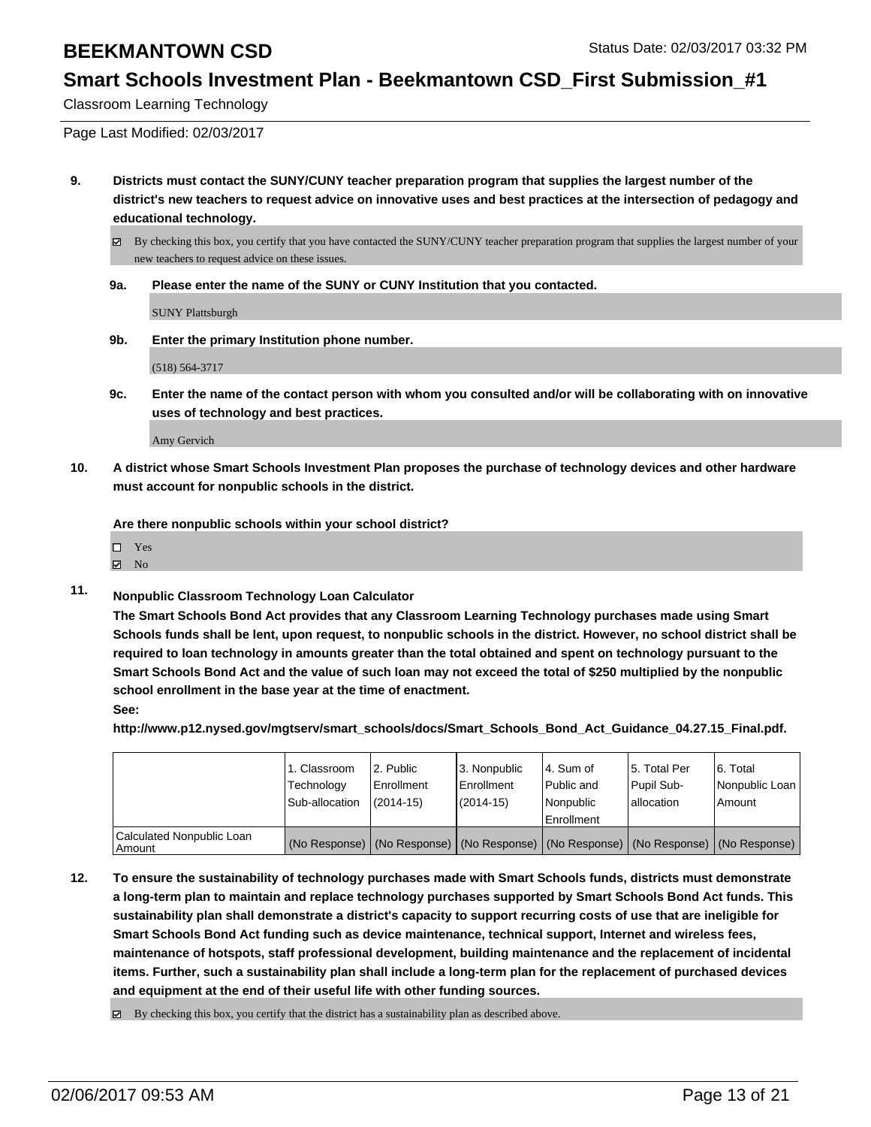### **Smart Schools Investment Plan - Beekmantown CSD\_First Submission\_#1**

Classroom Learning Technology

Page Last Modified: 02/03/2017

- **9. Districts must contact the SUNY/CUNY teacher preparation program that supplies the largest number of the district's new teachers to request advice on innovative uses and best practices at the intersection of pedagogy and educational technology.**
	- By checking this box, you certify that you have contacted the SUNY/CUNY teacher preparation program that supplies the largest number of your new teachers to request advice on these issues.
	- **9a. Please enter the name of the SUNY or CUNY Institution that you contacted.**

SUNY Plattsburgh

**9b. Enter the primary Institution phone number.**

(518) 564-3717

**9c. Enter the name of the contact person with whom you consulted and/or will be collaborating with on innovative uses of technology and best practices.**

Amy Gervich

**10. A district whose Smart Schools Investment Plan proposes the purchase of technology devices and other hardware must account for nonpublic schools in the district.**

**Are there nonpublic schools within your school district?**

Yes

- $\boxtimes$  No
- **11. Nonpublic Classroom Technology Loan Calculator**

**The Smart Schools Bond Act provides that any Classroom Learning Technology purchases made using Smart Schools funds shall be lent, upon request, to nonpublic schools in the district. However, no school district shall be required to loan technology in amounts greater than the total obtained and spent on technology pursuant to the Smart Schools Bond Act and the value of such loan may not exceed the total of \$250 multiplied by the nonpublic school enrollment in the base year at the time of enactment.**

**See:**

**http://www.p12.nysed.gov/mgtserv/smart\_schools/docs/Smart\_Schools\_Bond\_Act\_Guidance\_04.27.15\_Final.pdf.**

|                                       | <sub>1</sub> . Classroom<br>Technology<br>Sub-allocation | 2. Public<br><b>Enrollment</b><br>$(2014 - 15)$ | 3. Nonpublic<br>Enrollment<br>$(2014-15)$ | 4. Sum of<br>Public and<br>Nonpublic<br><b>Enrollment</b> | 5. Total Per<br>l Pupil Sub-<br>lallocation                                                   | 6. Total<br>Nonpublic Loan<br>l Amount |
|---------------------------------------|----------------------------------------------------------|-------------------------------------------------|-------------------------------------------|-----------------------------------------------------------|-----------------------------------------------------------------------------------------------|----------------------------------------|
| Calculated Nonpublic Loan<br>l Amount |                                                          |                                                 |                                           |                                                           | (No Response)   (No Response)   (No Response)   (No Response)   (No Response)   (No Response) |                                        |

- **12. To ensure the sustainability of technology purchases made with Smart Schools funds, districts must demonstrate a long-term plan to maintain and replace technology purchases supported by Smart Schools Bond Act funds. This sustainability plan shall demonstrate a district's capacity to support recurring costs of use that are ineligible for Smart Schools Bond Act funding such as device maintenance, technical support, Internet and wireless fees, maintenance of hotspots, staff professional development, building maintenance and the replacement of incidental items. Further, such a sustainability plan shall include a long-term plan for the replacement of purchased devices and equipment at the end of their useful life with other funding sources.**
	- $\boxtimes$  By checking this box, you certify that the district has a sustainability plan as described above.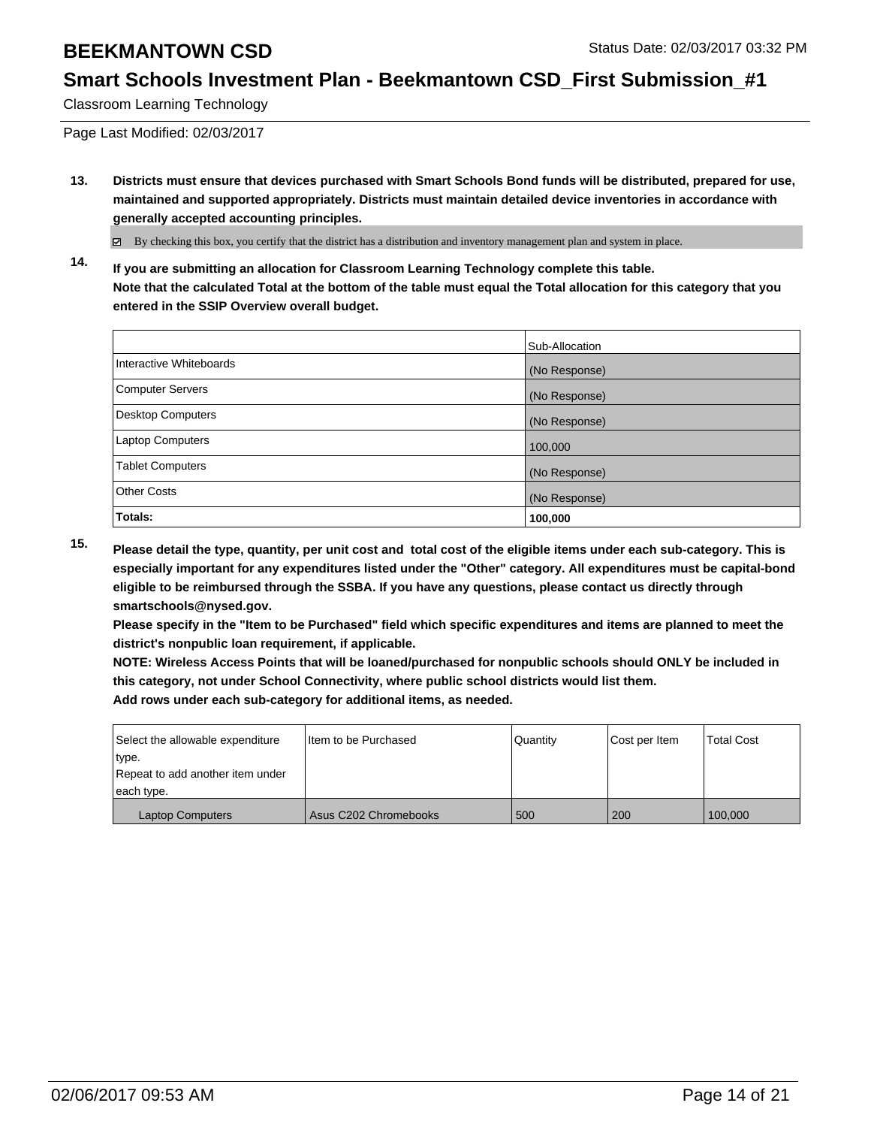### **Smart Schools Investment Plan - Beekmantown CSD\_First Submission\_#1**

Classroom Learning Technology

Page Last Modified: 02/03/2017

**13. Districts must ensure that devices purchased with Smart Schools Bond funds will be distributed, prepared for use, maintained and supported appropriately. Districts must maintain detailed device inventories in accordance with generally accepted accounting principles.**

By checking this box, you certify that the district has a distribution and inventory management plan and system in place.

**14. If you are submitting an allocation for Classroom Learning Technology complete this table. Note that the calculated Total at the bottom of the table must equal the Total allocation for this category that you entered in the SSIP Overview overall budget.**

|                          | Sub-Allocation |
|--------------------------|----------------|
| Interactive Whiteboards  | (No Response)  |
| <b>Computer Servers</b>  | (No Response)  |
| <b>Desktop Computers</b> | (No Response)  |
| Laptop Computers         | 100,000        |
| <b>Tablet Computers</b>  | (No Response)  |
| <b>Other Costs</b>       | (No Response)  |
| Totals:                  | 100,000        |

**15. Please detail the type, quantity, per unit cost and total cost of the eligible items under each sub-category. This is especially important for any expenditures listed under the "Other" category. All expenditures must be capital-bond eligible to be reimbursed through the SSBA. If you have any questions, please contact us directly through smartschools@nysed.gov.**

**Please specify in the "Item to be Purchased" field which specific expenditures and items are planned to meet the district's nonpublic loan requirement, if applicable.**

**NOTE: Wireless Access Points that will be loaned/purchased for nonpublic schools should ONLY be included in this category, not under School Connectivity, where public school districts would list them. Add rows under each sub-category for additional items, as needed.**

| Select the allowable expenditure | Item to be Purchased  | Quantity | Cost per Item | <b>Total Cost</b> |
|----------------------------------|-----------------------|----------|---------------|-------------------|
| type.                            |                       |          |               |                   |
| Repeat to add another item under |                       |          |               |                   |
| each type.                       |                       |          |               |                   |
| Laptop Computers                 | Asus C202 Chromebooks | 500      | 200           | 100.000           |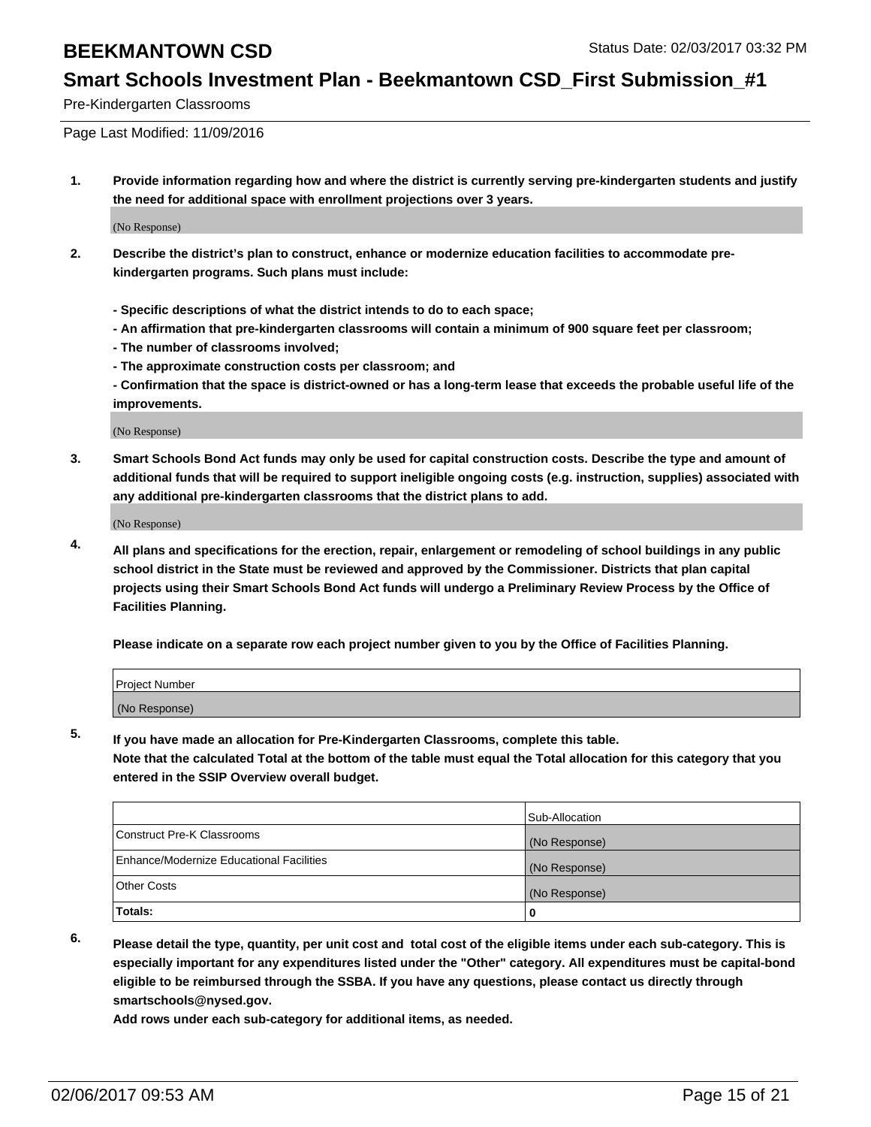### **Smart Schools Investment Plan - Beekmantown CSD\_First Submission\_#1**

Pre-Kindergarten Classrooms

Page Last Modified: 11/09/2016

**1. Provide information regarding how and where the district is currently serving pre-kindergarten students and justify the need for additional space with enrollment projections over 3 years.**

(No Response)

- **2. Describe the district's plan to construct, enhance or modernize education facilities to accommodate prekindergarten programs. Such plans must include:**
	- **Specific descriptions of what the district intends to do to each space;**
	- **An affirmation that pre-kindergarten classrooms will contain a minimum of 900 square feet per classroom;**
	- **The number of classrooms involved;**
	- **The approximate construction costs per classroom; and**
	- **Confirmation that the space is district-owned or has a long-term lease that exceeds the probable useful life of the improvements.**

(No Response)

**3. Smart Schools Bond Act funds may only be used for capital construction costs. Describe the type and amount of additional funds that will be required to support ineligible ongoing costs (e.g. instruction, supplies) associated with any additional pre-kindergarten classrooms that the district plans to add.**

(No Response)

**4. All plans and specifications for the erection, repair, enlargement or remodeling of school buildings in any public school district in the State must be reviewed and approved by the Commissioner. Districts that plan capital projects using their Smart Schools Bond Act funds will undergo a Preliminary Review Process by the Office of Facilities Planning.**

**Please indicate on a separate row each project number given to you by the Office of Facilities Planning.**

| Project Number |  |  |
|----------------|--|--|
| (No Response)  |  |  |

**5. If you have made an allocation for Pre-Kindergarten Classrooms, complete this table.**

**Note that the calculated Total at the bottom of the table must equal the Total allocation for this category that you entered in the SSIP Overview overall budget.**

|                                          | Sub-Allocation |
|------------------------------------------|----------------|
| Construct Pre-K Classrooms               | (No Response)  |
| Enhance/Modernize Educational Facilities | (No Response)  |
| Other Costs                              | (No Response)  |
| Totals:                                  |                |

**6. Please detail the type, quantity, per unit cost and total cost of the eligible items under each sub-category. This is especially important for any expenditures listed under the "Other" category. All expenditures must be capital-bond eligible to be reimbursed through the SSBA. If you have any questions, please contact us directly through smartschools@nysed.gov.**

**Add rows under each sub-category for additional items, as needed.**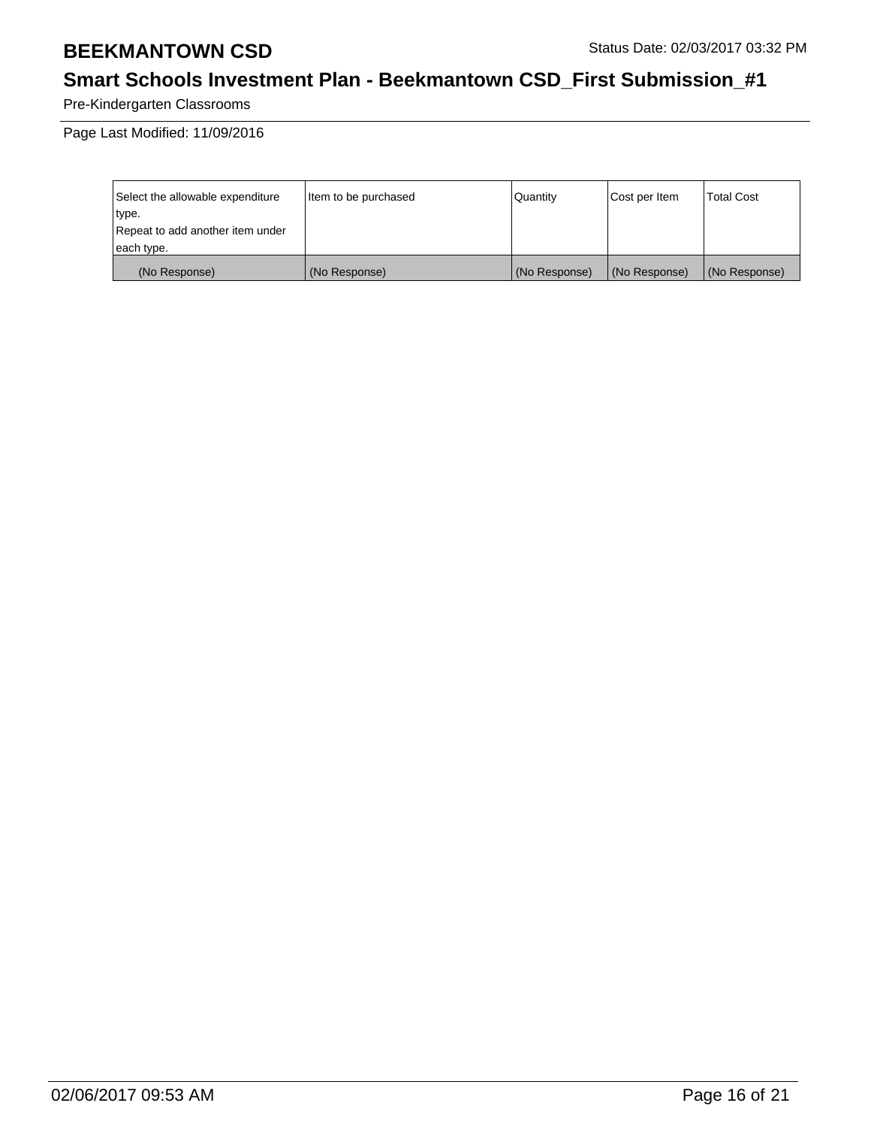# **Smart Schools Investment Plan - Beekmantown CSD\_First Submission\_#1**

Pre-Kindergarten Classrooms

Page Last Modified: 11/09/2016

| Select the allowable expenditure | litem to be purchased | Quantity      | Cost per Item | <b>Total Cost</b> |
|----------------------------------|-----------------------|---------------|---------------|-------------------|
| type.                            |                       |               |               |                   |
| Repeat to add another item under |                       |               |               |                   |
| each type.                       |                       |               |               |                   |
| (No Response)                    | (No Response)         | (No Response) | (No Response) | (No Response)     |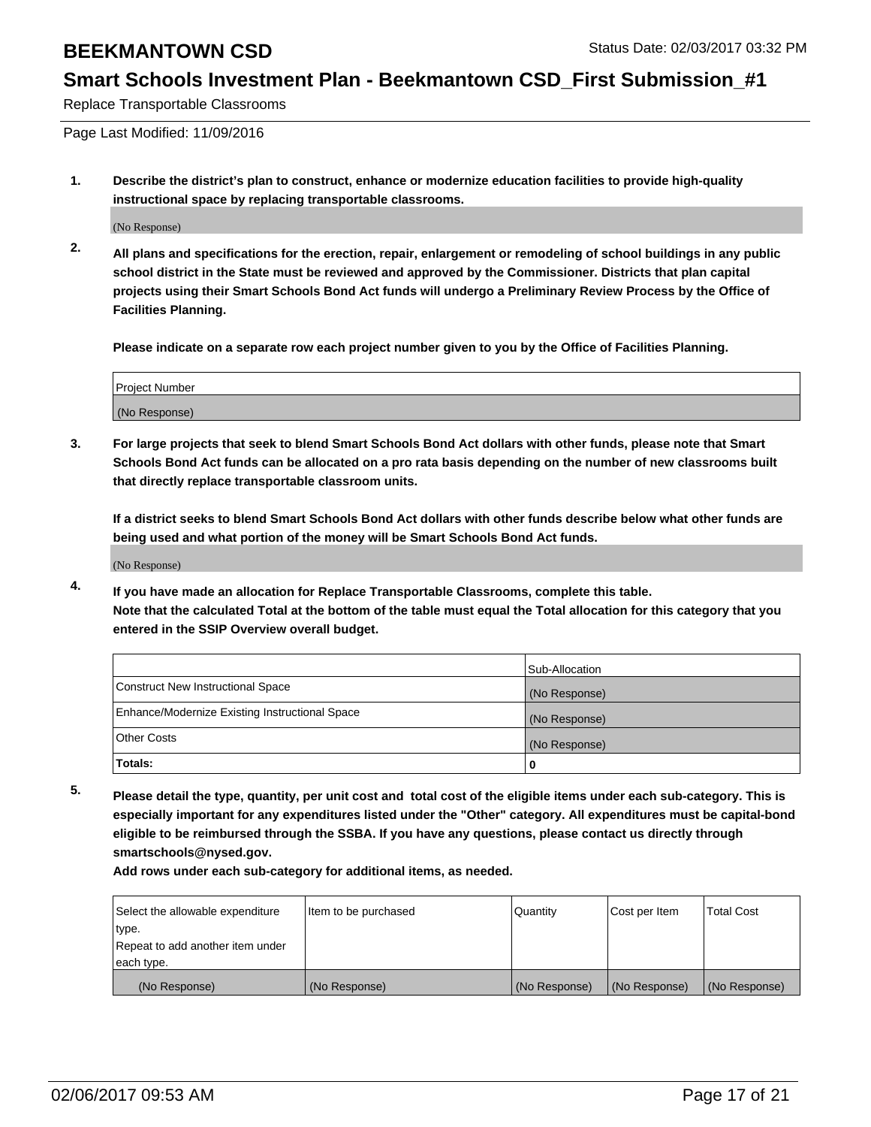### **Smart Schools Investment Plan - Beekmantown CSD\_First Submission\_#1**

Replace Transportable Classrooms

Page Last Modified: 11/09/2016

**1. Describe the district's plan to construct, enhance or modernize education facilities to provide high-quality instructional space by replacing transportable classrooms.**

(No Response)

**2. All plans and specifications for the erection, repair, enlargement or remodeling of school buildings in any public school district in the State must be reviewed and approved by the Commissioner. Districts that plan capital projects using their Smart Schools Bond Act funds will undergo a Preliminary Review Process by the Office of Facilities Planning.**

**Please indicate on a separate row each project number given to you by the Office of Facilities Planning.**

| <b>Project Number</b> |  |
|-----------------------|--|
| (No Response)         |  |

**3. For large projects that seek to blend Smart Schools Bond Act dollars with other funds, please note that Smart Schools Bond Act funds can be allocated on a pro rata basis depending on the number of new classrooms built that directly replace transportable classroom units.**

**If a district seeks to blend Smart Schools Bond Act dollars with other funds describe below what other funds are being used and what portion of the money will be Smart Schools Bond Act funds.**

(No Response)

**4. If you have made an allocation for Replace Transportable Classrooms, complete this table. Note that the calculated Total at the bottom of the table must equal the Total allocation for this category that you entered in the SSIP Overview overall budget.**

|                                                | Sub-Allocation |
|------------------------------------------------|----------------|
| Construct New Instructional Space              | (No Response)  |
| Enhance/Modernize Existing Instructional Space | (No Response)  |
| <b>Other Costs</b>                             | (No Response)  |
| Totals:                                        |                |

**5. Please detail the type, quantity, per unit cost and total cost of the eligible items under each sub-category. This is especially important for any expenditures listed under the "Other" category. All expenditures must be capital-bond eligible to be reimbursed through the SSBA. If you have any questions, please contact us directly through smartschools@nysed.gov.**

**Add rows under each sub-category for additional items, as needed.**

| Select the allowable expenditure | Item to be purchased | Quantity      | Cost per Item | <b>Total Cost</b> |
|----------------------------------|----------------------|---------------|---------------|-------------------|
| type.                            |                      |               |               |                   |
| Repeat to add another item under |                      |               |               |                   |
| each type.                       |                      |               |               |                   |
| (No Response)                    | (No Response)        | (No Response) | (No Response) | (No Response)     |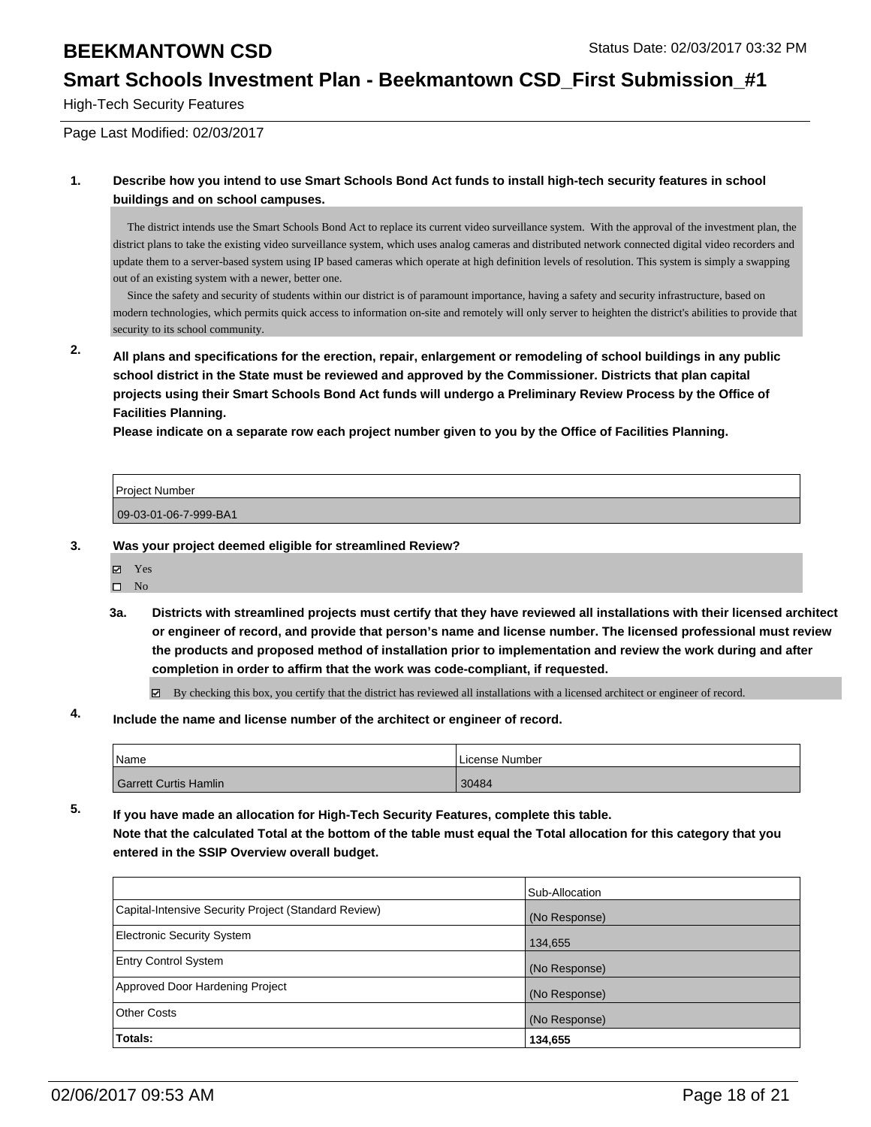### **Smart Schools Investment Plan - Beekmantown CSD\_First Submission\_#1**

High-Tech Security Features

Page Last Modified: 02/03/2017

#### **1. Describe how you intend to use Smart Schools Bond Act funds to install high-tech security features in school buildings and on school campuses.**

 The district intends use the Smart Schools Bond Act to replace its current video surveillance system. With the approval of the investment plan, the district plans to take the existing video surveillance system, which uses analog cameras and distributed network connected digital video recorders and update them to a server-based system using IP based cameras which operate at high definition levels of resolution. This system is simply a swapping out of an existing system with a newer, better one.

 Since the safety and security of students within our district is of paramount importance, having a safety and security infrastructure, based on modern technologies, which permits quick access to information on-site and remotely will only server to heighten the district's abilities to provide that security to its school community.

**2. All plans and specifications for the erection, repair, enlargement or remodeling of school buildings in any public school district in the State must be reviewed and approved by the Commissioner. Districts that plan capital projects using their Smart Schools Bond Act funds will undergo a Preliminary Review Process by the Office of Facilities Planning.** 

**Please indicate on a separate row each project number given to you by the Office of Facilities Planning.**

| <b>Project Number</b> |  |
|-----------------------|--|
|                       |  |
| 09-03-01-06-7-999-BA1 |  |

#### **3. Was your project deemed eligible for streamlined Review?**

- Yes
- $\square$  No
- **3a. Districts with streamlined projects must certify that they have reviewed all installations with their licensed architect or engineer of record, and provide that person's name and license number. The licensed professional must review the products and proposed method of installation prior to implementation and review the work during and after completion in order to affirm that the work was code-compliant, if requested.**

By checking this box, you certify that the district has reviewed all installations with a licensed architect or engineer of record.

**4. Include the name and license number of the architect or engineer of record.**

| <b>Name</b>           | License Number |
|-----------------------|----------------|
| Garrett Curtis Hamlin | 30484          |

**5. If you have made an allocation for High-Tech Security Features, complete this table. Note that the calculated Total at the bottom of the table must equal the Total allocation for this category that you entered in the SSIP Overview overall budget.**

|                                                      | Sub-Allocation |
|------------------------------------------------------|----------------|
| Capital-Intensive Security Project (Standard Review) | (No Response)  |
| Electronic Security System                           | 134,655        |
| <b>Entry Control System</b>                          | (No Response)  |
| Approved Door Hardening Project                      | (No Response)  |
| Other Costs                                          | (No Response)  |
| Totals:                                              | 134,655        |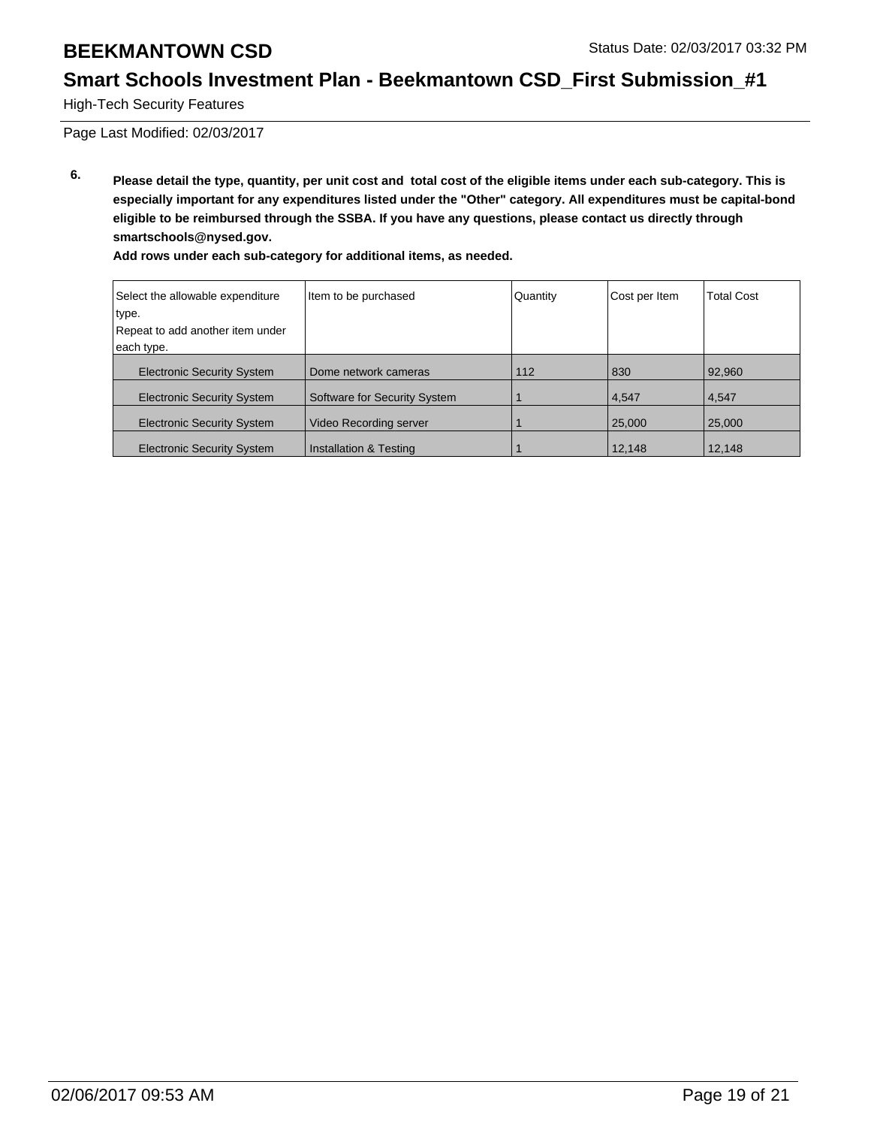### **Smart Schools Investment Plan - Beekmantown CSD\_First Submission\_#1**

High-Tech Security Features

Page Last Modified: 02/03/2017

**6. Please detail the type, quantity, per unit cost and total cost of the eligible items under each sub-category. This is especially important for any expenditures listed under the "Other" category. All expenditures must be capital-bond eligible to be reimbursed through the SSBA. If you have any questions, please contact us directly through smartschools@nysed.gov.**

| Select the allowable expenditure<br>type.<br>Repeat to add another item under | Item to be purchased         | Quantity | Cost per Item | <b>Total Cost</b> |
|-------------------------------------------------------------------------------|------------------------------|----------|---------------|-------------------|
| each type.                                                                    |                              |          |               |                   |
| <b>Electronic Security System</b>                                             | Dome network cameras         | 112      | 830           | 92.960            |
| <b>Electronic Security System</b>                                             | Software for Security System |          | 4,547         | 4,547             |
| <b>Electronic Security System</b>                                             | Video Recording server       |          | 25,000        | 25,000            |
| <b>Electronic Security System</b>                                             | Installation & Testing       |          | 12,148        | 12,148            |

**Add rows under each sub-category for additional items, as needed.**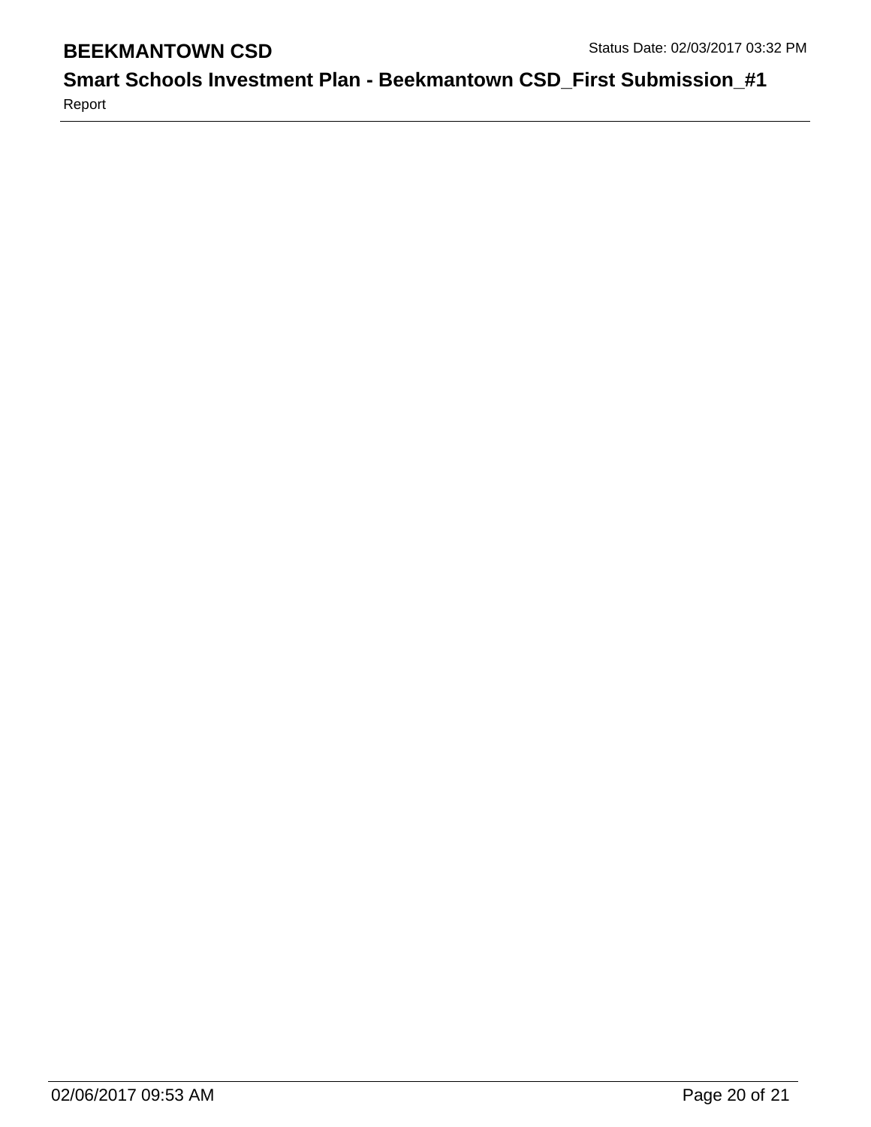# **Smart Schools Investment Plan - Beekmantown CSD\_First Submission\_#1**

Report